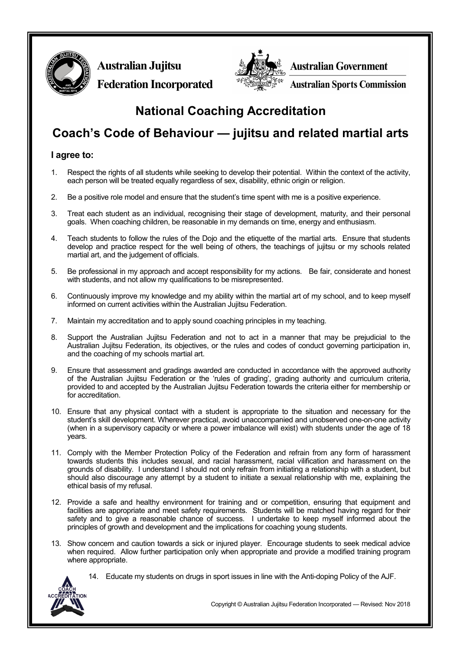

**Australian Jujitsu Federation Incorporated**



**Australian Government** 

**Australian Sports Commission** 

## **National Coaching Accreditation**

# **Coach's Code of Behaviour — jujitsu and related martial arts**

### **I agree to:**

- 1. Respect the rights of all students while seeking to develop their potential. Within the context of the activity, each person will be treated equally regardless of sex, disability, ethnic origin or religion.
- 2. Be a positive role model and ensure that the student's time spent with me is a positive experience.
- 3. Treat each student as an individual, recognising their stage of development, maturity, and their personal goals. When coaching children, be reasonable in my demands on time, energy and enthusiasm.
- 4. Teach students to follow the rules of the Dojo and the etiquette of the martial arts. Ensure that students develop and practice respect for the well being of others, the teachings of jujitsu or my schools related martial art, and the judgement of officials.
- 5. Be professional in my approach and accept responsibility for my actions. Be fair, considerate and honest with students, and not allow my qualifications to be misrepresented.
- 6. Continuously improve my knowledge and my ability within the martial art of my school, and to keep myself informed on current activities within the Australian Jujitsu Federation.
- 7. Maintain my accreditation and to apply sound coaching principles in my teaching.
- 8. Support the Australian Jujitsu Federation and not to act in a manner that may be prejudicial to the Australian Jujitsu Federation, its objectives, or the rules and codes of conduct governing participation in, and the coaching of my schools martial art.
- 9. Ensure that assessment and gradings awarded are conducted in accordance with the approved authority of the Australian Jujitsu Federation or the 'rules of grading', grading authority and curriculum criteria, provided to and accepted by the Australian Jujitsu Federation towards the criteria either for membership or for accreditation.
- 10. Ensure that any physical contact with a student is appropriate to the situation and necessary for the student's skill development. Wherever practical, avoid unaccompanied and unobserved one-on-one activity (when in a supervisory capacity or where a power imbalance will exist) with students under the age of 18 years.
- 11. Comply with the Member Protection Policy of the Federation and refrain from any form of harassment towards students this includes sexual, and racial harassment, racial vilification and harassment on the grounds of disability. I understand I should not only refrain from initiating a relationship with a student, but should also discourage any attempt by a student to initiate a sexual relationship with me, explaining the ethical basis of my refusal.
- 12. Provide a safe and healthy environment for training and or competition, ensuring that equipment and facilities are appropriate and meet safety requirements. Students will be matched having regard for their safety and to give a reasonable chance of success. I undertake to keep myself informed about the principles of growth and development and the implications for coaching young students.
- 13. Show concern and caution towards a sick or injured player. Encourage students to seek medical advice when required. Allow further participation only when appropriate and provide a modified training program where appropriate.



14. Educate my students on drugs in sport issues in line with the Anti-doping Policy of the AJF.

Copyright © Australian Jujitsu Federation Incorporated — Revised: Nov 2018